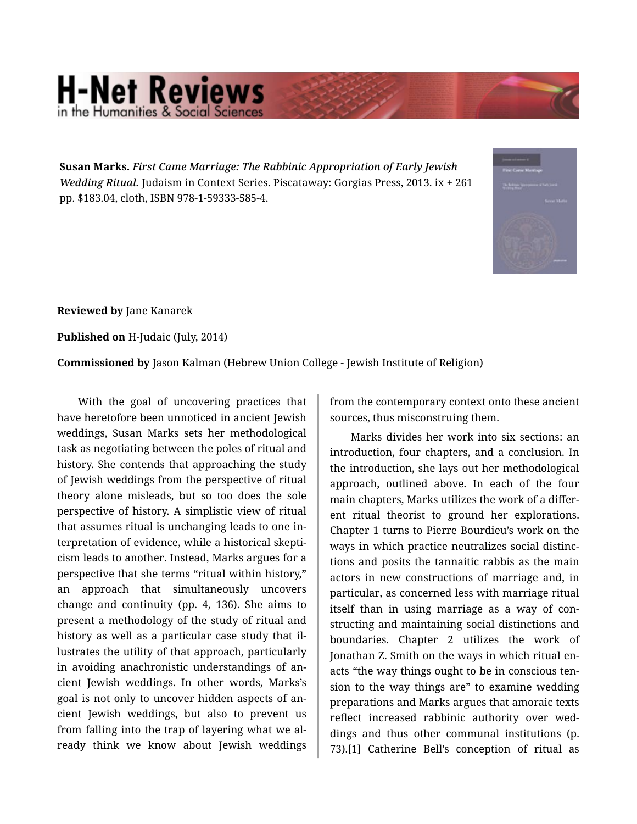## **H-Net Reviews** in the Humanities & Social Scie

**Susan Marks.** *First Came Marriage: The Rabbinic Appropriation of Early Jewish Wedding Ritual.* Judaism in Context Series. Piscataway: Gorgias Press, 2013. ix + 261 pp. \$183.04, cloth, ISBN 978-1-59333-585-4.



**Reviewed by** Jane Kanarek

**Published on** H-Judaic (July, 2014)

**Commissioned by** Jason Kalman (Hebrew Union College - Jewish Institute of Religion)

With the goal of uncovering practices that have heretofore been unnoticed in ancient Jewish weddings, Susan Marks sets her methodological task as negotiating between the poles of ritual and history. She contends that approaching the study of Jewish weddings from the perspective of ritual theory alone misleads, but so too does the sole perspective of history. A simplistic view of ritual that assumes ritual is unchanging leads to one in‐ terpretation of evidence, while a historical skepti‐ cism leads to another. Instead, Marks argues for a perspective that she terms "ritual within history," an approach that simultaneously uncovers change and continuity (pp. 4, 136). She aims to present a methodology of the study of ritual and history as well as a particular case study that il‐ lustrates the utility of that approach, particularly in avoiding anachronistic understandings of an‐ cient Jewish weddings. In other words, Marks's goal is not only to uncover hidden aspects of an‐ cient Jewish weddings, but also to prevent us from falling into the trap of layering what we al‐ ready think we know about Jewish weddings

from the contemporary context onto these ancient sources, thus misconstruing them.

Marks divides her work into six sections: an introduction, four chapters, and a conclusion. In the introduction, she lays out her methodological approach, outlined above. In each of the four main chapters, Marks utilizes the work of a differ‐ ent ritual theorist to ground her explorations. Chapter 1 turns to Pierre Bourdieu's work on the ways in which practice neutralizes social distinc‐ tions and posits the tannaitic rabbis as the main actors in new constructions of marriage and, in particular, as concerned less with marriage ritual itself than in using marriage as a way of con‐ structing and maintaining social distinctions and boundaries. Chapter 2 utilizes the work of Jonathan Z. Smith on the ways in which ritual en‐ acts "the way things ought to be in conscious ten‐ sion to the way things are" to examine wedding preparations and Marks argues that amoraic texts reflect increased rabbinic authority over wed‐ dings and thus other communal institutions (p. 73).[1] Catherine Bell's conception of ritual as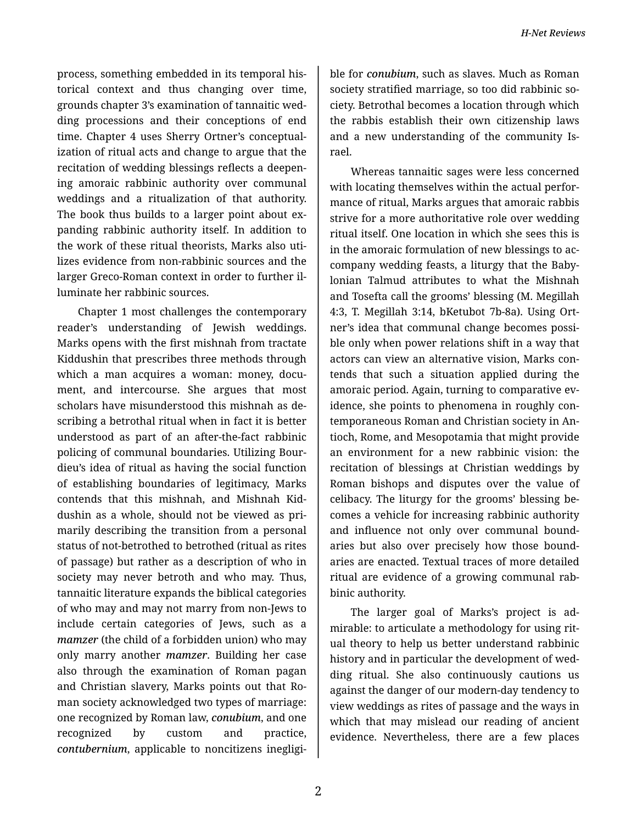process, something embedded in its temporal his‐ torical context and thus changing over time, grounds chapter 3's examination of tannaitic wed‐ ding processions and their conceptions of end time. Chapter 4 uses Sherry Ortner's conceptual‐ ization of ritual acts and change to argue that the recitation of wedding blessings reflects a deepen‐ ing amoraic rabbinic authority over communal weddings and a ritualization of that authority. The book thus builds to a larger point about ex‐ panding rabbinic authority itself. In addition to the work of these ritual theorists, Marks also uti‐ lizes evidence from non-rabbinic sources and the larger Greco-Roman context in order to further il‐ luminate her rabbinic sources.

Chapter 1 most challenges the contemporary reader's understanding of Jewish weddings. Marks opens with the first mishnah from tractate Kiddushin that prescribes three methods through which a man acquires a woman: money, document, and intercourse. She argues that most scholars have misunderstood this mishnah as de‐ scribing a betrothal ritual when in fact it is better understood as part of an after-the-fact rabbinic policing of communal boundaries. Utilizing Bour‐ dieu's idea of ritual as having the social function of establishing boundaries of legitimacy, Marks contends that this mishnah, and Mishnah Kid‐ dushin as a whole, should not be viewed as pri‐ marily describing the transition from a personal status of not-betrothed to betrothed (ritual as rites of passage) but rather as a description of who in society may never betroth and who may. Thus, tannaitic literature expands the biblical categories of who may and may not marry from non-Jews to include certain categories of Jews, such as a *mamzer* (the child of a forbidden union) who may only marry another *mamzer*. Building her case also through the examination of Roman pagan and Christian slavery, Marks points out that Ro‐ man society acknowledged two types of marriage: one recognized by Roman law, *conubium*, and one recognized by custom and practice, *contubernium*, applicable to noncitizens inegligi‐

ble for *conubium*, such as slaves. Much as Roman society stratified marriage, so too did rabbinic so‐ ciety. Betrothal becomes a location through which the rabbis establish their own citizenship laws and a new understanding of the community Is‐ rael.

Whereas tannaitic sages were less concerned with locating themselves within the actual performance of ritual, Marks argues that amoraic rabbis strive for a more authoritative role over wedding ritual itself. One location in which she sees this is in the amoraic formulation of new blessings to ac‐ company wedding feasts, a liturgy that the Baby‐ lonian Talmud attributes to what the Mishnah and Tosefta call the grooms' blessing (M. Megillah 4:3, T. Megillah 3:14, bKetubot 7b-8a). Using Ort‐ ner's idea that communal change becomes possi‐ ble only when power relations shift in a way that actors can view an alternative vision, Marks con‐ tends that such a situation applied during the amoraic period. Again, turning to comparative ev‐ idence, she points to phenomena in roughly con‐ temporaneous Roman and Christian society in An‐ tioch, Rome, and Mesopotamia that might provide an environment for a new rabbinic vision: the recitation of blessings at Christian weddings by Roman bishops and disputes over the value of celibacy. The liturgy for the grooms' blessing be‐ comes a vehicle for increasing rabbinic authority and influence not only over communal bound‐ aries but also over precisely how those bound‐ aries are enacted. Textual traces of more detailed ritual are evidence of a growing communal rab‐ binic authority.

The larger goal of Marks's project is ad‐ mirable: to articulate a methodology for using rit‐ ual theory to help us better understand rabbinic history and in particular the development of wed‐ ding ritual. She also continuously cautions us against the danger of our modern-day tendency to view weddings as rites of passage and the ways in which that may mislead our reading of ancient evidence. Nevertheless, there are a few places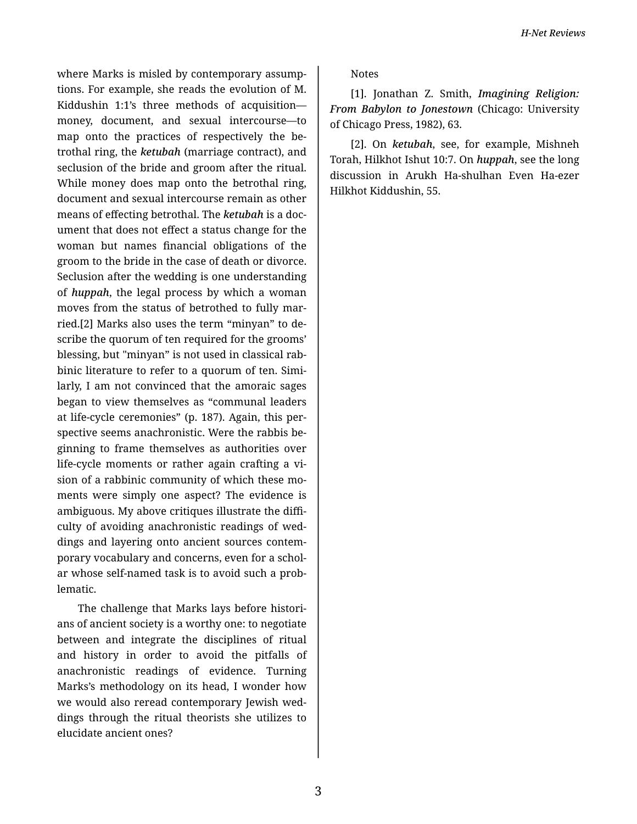where Marks is misled by contemporary assump‐ tions. For example, she reads the evolution of M. Kiddushin 1:1's three methods of acquisition money, document, and sexual intercourse—to map onto the practices of respectively the betrothal ring, the *ketubah* (marriage contract), and seclusion of the bride and groom after the ritual. While money does map onto the betrothal ring, document and sexual intercourse remain as other means of effecting betrothal. The *ketubah* is a doc‐ ument that does not effect a status change for the woman but names financial obligations of the groom to the bride in the case of death or divorce. Seclusion after the wedding is one understanding of *huppah*, the legal process by which a woman moves from the status of betrothed to fully mar‐ ried.[2] Marks also uses the term "minyan" to de‐ scribe the quorum of ten required for the grooms' blessing, but "minyan" is not used in classical rab‐ binic literature to refer to a quorum of ten. Simi‐ larly, I am not convinced that the amoraic sages began to view themselves as "communal leaders at life-cycle ceremonies" (p. 187). Again, this per‐ spective seems anachronistic. Were the rabbis be‐ ginning to frame themselves as authorities over life-cycle moments or rather again crafting a vi‐ sion of a rabbinic community of which these mo‐ ments were simply one aspect? The evidence is ambiguous. My above critiques illustrate the diffi‐ culty of avoiding anachronistic readings of wed‐ dings and layering onto ancient sources contem‐ porary vocabulary and concerns, even for a schol‐ ar whose self-named task is to avoid such a prob‐ lematic.

The challenge that Marks lays before histori‐ ans of ancient society is a worthy one: to negotiate between and integrate the disciplines of ritual and history in order to avoid the pitfalls of anachronistic readings of evidence. Turning Marks's methodology on its head, I wonder how we would also reread contemporary Jewish wed‐ dings through the ritual theorists she utilizes to elucidate ancient ones?

Notes

[1]. Jonathan Z. Smith, *Imagining Religion: From Babylon to Jonestown* (Chicago: University of Chicago Press, 1982), 63.

[2]. On *ketubah*, see, for example, Mishneh Torah, Hilkhot Ishut 10:7. On *huppah*, see the long discussion in Arukh Ha-shulhan Even Ha-ezer Hilkhot Kiddushin, 55.